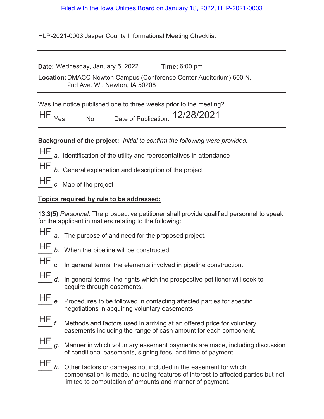## Filed with the Iowa Utilities Board on January 18, 2022, HLP-2021-0003

HLP-2021-0003 Jasper County Informational Meeting Checklist

| Date: Wednesday, January 5, 2022                                                                     | Time: $6:00 \text{ pm}$ |
|------------------------------------------------------------------------------------------------------|-------------------------|
| Location: DMACC Newton Campus (Conference Center Auditorium) 600 N.<br>2nd Ave. W., Newton, IA 50208 |                         |
|                                                                                                      |                         |

Was the notice published one to three weeks prior to the meeting?

| H | Date of Publication: | $101001001$<br> Z/Z0/ZUL |
|---|----------------------|--------------------------|
|   |                      |                          |

## **Background of the project:** *Initial to confirm the following were provided.*

- HF a. Identification of the utility and representatives in attendance
- HF
	- b. General explanation and description of the project

HF c. Map of the project

## **Topics required by rule to be addressed:**

**13.3(5)** *Personnel.* The prospective petitioner shall provide qualified personnel to speak for the applicant in matters relating to the following:

- 
- HF a. The purpose of and need for the proposed project.
- 
- HF *b.* When the pipeline will be constructed.
- 
- HF c. In general terms, the elements involved in pipeline construction.
- d. In general terms, the rights which the prospective petitioner will seek to acquire through easements. HF
- e. Procedures to be followed in contacting affected parties for specific negotiations in acquiring voluntary easements. HF
- Methods and factors used in arriving at an offered price for voluntary easements including the range of cash amount for each component.  $HF_{f.}$
- \_\_\_\_ *g.* Manner in which voluntary easement payments are made, including discussion of conditional easements, signing fees, and time of payment. HF
- \_\_\_\_ *h.* Other factors or damages not included in the easement for which compensation is made, including features of interest to affected parties but not limited to computation of amounts and manner of payment.  $HF$ <sub>h.</sub>